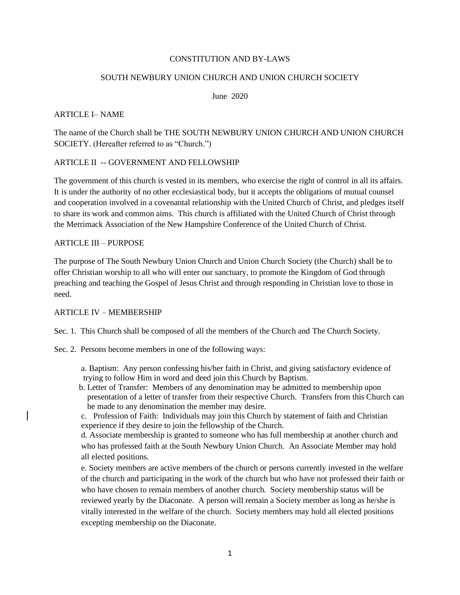### CONSTITUTION AND BY-LAWS

#### SOUTH NEWBURY UNION CHURCH AND UNION CHURCH SOCIETY

June 2020

#### ARTICLE I– NAME

The name of the Church shall be THE SOUTH NEWBURY UNION CHURCH AND UNION CHURCH SOCIETY. (Hereafter referred to as "Church.")

## ARTICLE II -- GOVERNMENT AND FELLOWSHIP

The government of this church is vested in its members, who exercise the right of control in all its affairs. It is under the authority of no other ecclesiastical body, but it accepts the obligations of mutual counsel and cooperation involved in a covenantal relationship with the United Church of Christ, and pledges itself to share its work and common aims. This church is affiliated with the United Church of Christ through the Merrimack Association of the New Hampshire Conference of the United Church of Christ.

#### ARTICLE III – PURPOSE

The purpose of The South Newbury Union Church and Union Church Society (the Church) shall be to offer Christian worship to all who will enter our sanctuary, to promote the Kingdom of God through preaching and teaching the Gospel of Jesus Christ and through responding in Christian love to those in need.

# ARTICLE IV – MEMBERSHIP

Sec. 1. This Church shall be composed of all the members of the Church and The Church Society.

Sec. 2. Persons become members in one of the following ways:

- a. Baptism: Any person confessing his/her faith in Christ, and giving satisfactory evidence of trying to follow Him in word and deed join this Church by Baptism.
- b. Letter of Transfer: Members of any denomination may be admitted to membership upon presentation of a letter of transfer from their respective Church. Transfers from this Church can be made to any denomination the member may desire.
- c. Profession of Faith: Individuals may join this Church by statement of faith and Christian experience if they desire to join the fellowship of the Church.

d. Associate membership is granted to someone who has full membership at another church and who has professed faith at the South Newbury Union Church. An Associate Member may hold all elected positions.

e. Society members are active members of the church or persons currently invested in the welfare of the church and participating in the work of the church but who have not professed their faith or who have chosen to remain members of another church. Society membership status will be reviewed yearly by the Diaconate. A person will remain a Society member as long as he/she is vitally interested in the welfare of the church. Society members may hold all elected positions excepting membership on the Diaconate.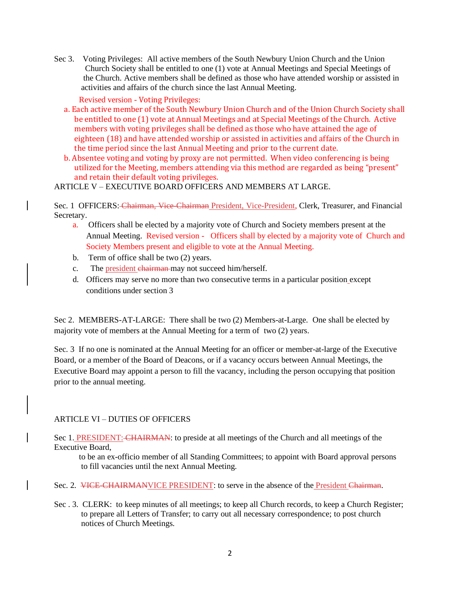Sec 3. Voting Privileges: All active members of the South Newbury Union Church and the Union Church Society shall be entitled to one (1) vote at Annual Meetings and Special Meetings of the Church. Active members shall be defined as those who have attended worship or assisted in activities and affairs of the church since the last Annual Meeting.

Revised version - Voting Privileges:

- a. Each active member of the South Newbury Union Church and of the Union Church Society shall be entitled to one (1) vote at Annual Meetings and at Special Meetings of the Church. Active members with voting privileges shall be defined as those who have attained the age of eighteen (18) and have attended worship or assisted in activities and affairs of the Church in the time period since the last Annual Meeting and prior to the current date.
- b. Absentee voting and voting by proxy are not permitted. When video conferencing is being utilized for the Meeting, members attending via this method are regarded as being "present" and retain their default voting privileges.

ARTICLE V – EXECUTIVE BOARD OFFICERS AND MEMBERS AT LARGE.

Sec. 1 OFFICERS: Chairman, Vice-Chairman President, Vice-President, Clerk, Treasurer, and Financial Secretary.

- a. Officers shall be elected by a majority vote of Church and Society members present at the Annual Meeting. Revised version - Officers shall by elected by a majority vote of Church and Society Members present and eligible to vote at the Annual Meeting.
- b. Term of office shall be two (2) years.
- c. The president chairman may not succeed him/herself.
- d. Officers may serve no more than two consecutive terms in a particular position except conditions under section 3

Sec 2. MEMBERS-AT-LARGE: There shall be two (2) Members-at-Large. One shall be elected by majority vote of members at the Annual Meeting for a term of two (2) years.

Sec. 3 If no one is nominated at the Annual Meeting for an officer or member-at-large of the Executive Board, or a member of the Board of Deacons, or if a vacancy occurs between Annual Meetings, the Executive Board may appoint a person to fill the vacancy, including the person occupying that position prior to the annual meeting.

# ARTICLE VI – DUTIES OF OFFICERS

Sec 1. PRESIDENT: CHAIRMAN: to preside at all meetings of the Church and all meetings of the Executive Board,

 to be an ex-officio member of all Standing Committees; to appoint with Board approval persons to fill vacancies until the next Annual Meeting.

- Sec. 2. <del>VICE-CHAIRMANVICE PRESIDENT</del>: to serve in the absence of the **President Chairman**.
- Sec . 3. CLERK: to keep minutes of all meetings; to keep all Church records, to keep a Church Register; to prepare all Letters of Transfer; to carry out all necessary correspondence; to post church notices of Church Meetings.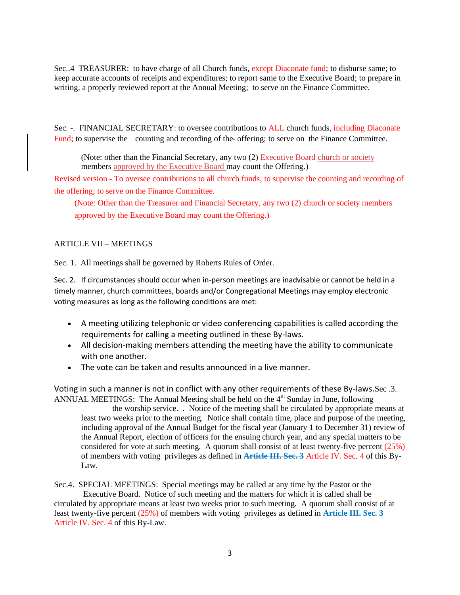Sec..4 TREASURER: to have charge of all Church funds, except Diaconate fund; to disburse same; to keep accurate accounts of receipts and expenditures; to report same to the Executive Board; to prepare in writing, a properly reviewed report at the Annual Meeting; to serve on the Finance Committee.

Sec. -. FINANCIAL SECRETARY: to oversee contributions to ALL church funds, including Diaconate Fund; to supervise the counting and recording of the offering; to serve on the Finance Committee.

(Note: other than the Financial Secretary, any two  $(2)$  Executive Board-church or society members approved by the Executive Board may count the Offering.)

Revised version - To oversee contributions to all church funds; to supervise the counting and recording of the offering; to serve on the Finance Committee.

(Note: Other than the Treasurer and Financial Secretary, any two (2) church or society members approved by the Executive Board may count the Offering.)

# ARTICLE VII – MEETINGS

Sec. 1. All meetings shall be governed by Roberts Rules of Order.

Sec. 2. If circumstances should occur when in-person meetings are inadvisable or cannot be held in a timely manner, church committees, boards and/or Congregational Meetings may employ electronic voting measures as long as the following conditions are met:

- A meeting utilizing telephonic or video conferencing capabilities is called according the requirements for calling a meeting outlined in these By-laws.
- All decision-making members attending the meeting have the ability to communicate with one another.
- The vote can be taken and results announced in a live manner.

Voting in such a manner is not in conflict with any other requirements of these By-laws.Sec .3. ANNUAL MEETINGS: The Annual Meeting shall be held on the  $4<sup>th</sup>$  Sunday in June, following

 the worship service. . Notice of the meeting shall be circulated by appropriate means at least two weeks prior to the meeting. Notice shall contain time, place and purpose of the meeting, including approval of the Annual Budget for the fiscal year (January 1 to December 31) review of the Annual Report, election of officers for the ensuing church year, and any special matters to be considered for vote at such meeting. A quorum shall consist of at least twenty-five percent (25%) of members with voting privileges as defined in **Article III. Sec. 3** Article IV. Sec. 4 of this By-Law.

Sec.4. SPECIAL MEETINGS: Special meetings may be called at any time by the Pastor or the Executive Board. Notice of such meeting and the matters for which it is called shall be circulated by appropriate means at least two weeks prior to such meeting. A quorum shall consist of at least twenty-five percent (25%) of members with voting privileges as defined in **Article III. Sec. 3** Article IV. Sec. 4 of this By-Law.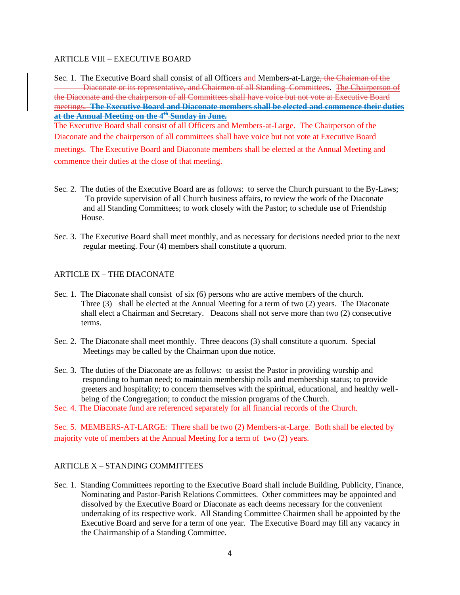## ARTICLE VIII – EXECUTIVE BOARD

Sec. 1. The Executive Board shall consist of all Officers and Members-at-Large, the Chairman of the Diaconate or its representative, and Chairmen of all Standing Committees. The Chairperson of the Diaconate and the chairperson of all Committees shall have voice but not vote at Executive Board meetings. **The Executive Board and Diaconate members shall be elected and commence their duties at the Annual Meeting on the 4th Sunday in June.**

The Executive Board shall consist of all Officers and Members-at-Large. The Chairperson of the Diaconate and the chairperson of all committees shall have voice but not vote at Executive Board

meetings. The Executive Board and Diaconate members shall be elected at the Annual Meeting and commence their duties at the close of that meeting.

- Sec. 2. The duties of the Executive Board are as follows: to serve the Church pursuant to the By-Laws; To provide supervision of all Church business affairs, to review the work of the Diaconate and all Standing Committees; to work closely with the Pastor; to schedule use of Friendship House.
- Sec. 3. The Executive Board shall meet monthly, and as necessary for decisions needed prior to the next regular meeting. Four (4) members shall constitute a quorum.

# ARTICLE IX – THE DIACONATE

- Sec. 1. The Diaconate shall consist of six (6) persons who are active members of the church. Three (3) shall be elected at the Annual Meeting for a term of two (2) years. The Diaconate shall elect a Chairman and Secretary. Deacons shall not serve more than two (2) consecutive terms.
- Sec. 2. The Diaconate shall meet monthly. Three deacons (3) shall constitute a quorum. Special Meetings may be called by the Chairman upon due notice.
- Sec. 3. The duties of the Diaconate are as follows: to assist the Pastor in providing worship and responding to human need; to maintain membership rolls and membership status; to provide greeters and hospitality; to concern themselves with the spiritual, educational, and healthy wellbeing of the Congregation; to conduct the mission programs of the Church.
- Sec. 4. The Diaconate fund are referenced separately for all financial records of the Church.

Sec. 5. MEMBERS-AT-LARGE: There shall be two (2) Members-at-Large. Both shall be elected by majority vote of members at the Annual Meeting for a term of two (2) years.

# ARTICLE X – STANDING COMMITTEES

Sec. 1. Standing Committees reporting to the Executive Board shall include Building, Publicity, Finance, Nominating and Pastor-Parish Relations Committees. Other committees may be appointed and dissolved by the Executive Board or Diaconate as each deems necessary for the convenient undertaking of its respective work. All Standing Committee Chairmen shall be appointed by the Executive Board and serve for a term of one year. The Executive Board may fill any vacancy in the Chairmanship of a Standing Committee.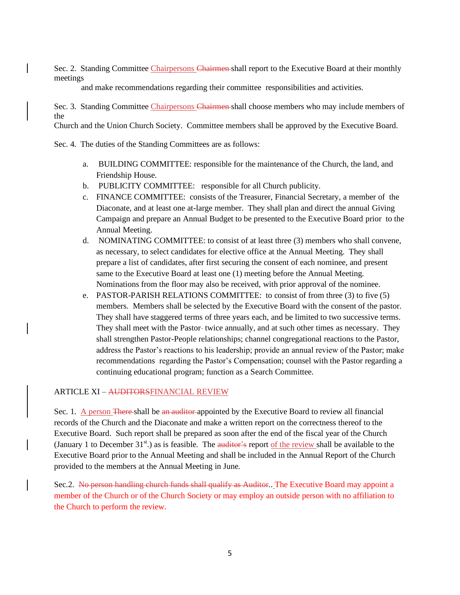Sec. 2. Standing Committee Chairpersons Chairmen shall report to the Executive Board at their monthly meetings

and make recommendations regarding their committee responsibilities and activities.

Sec. 3. Standing Committee Chairpersons Chairmen shall choose members who may include members of the

Church and the Union Church Society. Committee members shall be approved by the Executive Board.

Sec. 4. The duties of the Standing Committees are as follows:

- a. BUILDING COMMITTEE: responsible for the maintenance of the Church, the land, and Friendship House.
- b. PUBLICITY COMMITTEE: responsible for all Church publicity.
- c. FINANCE COMMITTEE: consists of the Treasurer, Financial Secretary, a member of the Diaconate, and at least one at-large member. They shall plan and direct the annual Giving Campaign and prepare an Annual Budget to be presented to the Executive Board prior to the Annual Meeting.
- d. NOMINATING COMMITTEE: to consist of at least three (3) members who shall convene, as necessary, to select candidates for elective office at the Annual Meeting. They shall prepare a list of candidates, after first securing the consent of each nominee, and present same to the Executive Board at least one (1) meeting before the Annual Meeting. Nominations from the floor may also be received, with prior approval of the nominee.
- e. PASTOR-PARISH RELATIONS COMMITTEE: to consist of from three (3) to five (5) members. Members shall be selected by the Executive Board with the consent of the pastor. They shall have staggered terms of three years each, and be limited to two successive terms. They shall meet with the Pastor-twice annually, and at such other times as necessary. They shall strengthen Pastor-People relationships; channel congregational reactions to the Pastor, address the Pastor's reactions to his leadership; provide an annual review of the Pastor; make recommendations regarding the Pastor's Compensation; counsel with the Pastor regarding a continuing educational program; function as a Search Committee.

#### ARTICLE XI – AUDITORSFINANCIAL REVIEW

Sec. 1. A person There shall be an auditor appointed by the Executive Board to review all financial records of the Church and the Diaconate and make a written report on the correctness thereof to the Executive Board. Such report shall be prepared as soon after the end of the fiscal year of the Church (January 1 to December  $31^{st}$ .) as is feasible. The auditor's report of the review shall be available to the Executive Board prior to the Annual Meeting and shall be included in the Annual Report of the Church provided to the members at the Annual Meeting in June.

Sec.2. No person handling church funds shall qualify as Auditor. The Executive Board may appoint a member of the Church or of the Church Society or may employ an outside person with no affiliation to the Church to perform the review.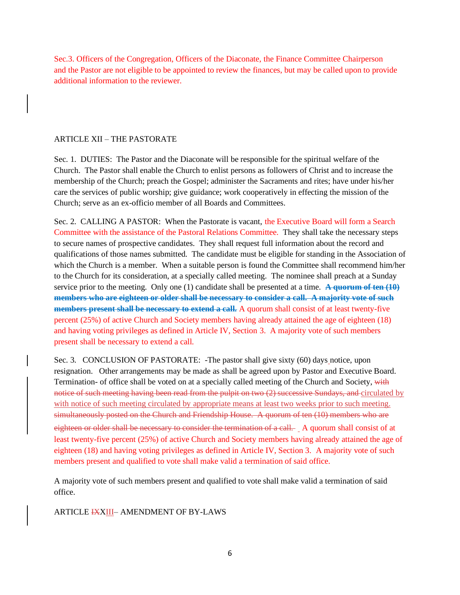Sec.3. Officers of the Congregation, Officers of the Diaconate, the Finance Committee Chairperson and the Pastor are not eligible to be appointed to review the finances, but may be called upon to provide additional information to the reviewer.

# ARTICLE XII – THE PASTORATE

Sec. 1. DUTIES: The Pastor and the Diaconate will be responsible for the spiritual welfare of the Church. The Pastor shall enable the Church to enlist persons as followers of Christ and to increase the membership of the Church; preach the Gospel; administer the Sacraments and rites; have under his/her care the services of public worship; give guidance; work cooperatively in effecting the mission of the Church; serve as an ex-officio member of all Boards and Committees.

Sec. 2. CALLING A PASTOR: When the Pastorate is vacant, the Executive Board will form a Search Committee with the assistance of the Pastoral Relations Committee. They shall take the necessary steps to secure names of prospective candidates. They shall request full information about the record and qualifications of those names submitted. The candidate must be eligible for standing in the Association of which the Church is a member. When a suitable person is found the Committee shall recommend him/her to the Church for its consideration, at a specially called meeting. The nominee shall preach at a Sunday service prior to the meeting. Only one (1) candidate shall be presented at a time. **A quorum of ten (10) members who are eighteen or older shall be necessary to consider a call. A majority vote of such members present shall be necessary to extend a call.** A quorum shall consist of at least twenty-five percent (25%) of active Church and Society members having already attained the age of eighteen (18) and having voting privileges as defined in Article IV, Section 3. A majority vote of such members present shall be necessary to extend a call.

Sec. 3. CONCLUSION OF PASTORATE: -The pastor shall give sixty (60) days notice, upon resignation. Other arrangements may be made as shall be agreed upon by Pastor and Executive Board. Termination- of office shall be voted on at a specially called meeting of the Church and Society, with notice of such meeting having been read from the pulpit on two (2) successive Sundays, and circulated by with notice of such meeting circulated by appropriate means at least two weeks prior to such meeting. simultaneously posted on the Church and Friendship House. A quorum of ten (10) members who are eighteen or older shall be necessary to consider the termination of a call. A quorum shall consist of at least twenty-five percent (25%) of active Church and Society members having already attained the age of eighteen (18) and having voting privileges as defined in Article IV, Section 3. A majority vote of such members present and qualified to vote shall make valid a termination of said office.

A majority vote of such members present and qualified to vote shall make valid a termination of said office.

ARTICLE **IXXIII**- AMENDMENT OF BY-LAWS